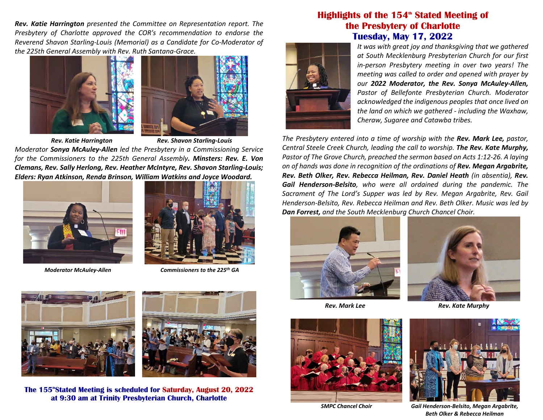*Rev. Katie Harrington presented the Committee on Representation report. The Presbytery of Charlotte approved the COR's recommendation to endorse the Reverend Shavon Starling-Louis (Memorial) as a Candidate for Co-Moderator of the 225th General Assembly with Rev. Ruth Santana-Grace.*



*Rev. Katie Harrington Rev. Shavon Starling-Louis Moderator Sonya McAuley-Allen led the Presbytery in a Commissioning Service for the Commissioners to the 225th General Assembly. Minsters: Rev. E. Von Clemans, Rev. Sally Herlong, Rev. Heather McIntyre, Rev. Shavon Starling-Louis; Elders: Ryan Atkinson, Renda Brinson, William Watkins and Joyce Woodard.*





*Moderator McAuley-Allen Commissioners to the 225th GA*





The 155<sup>\*</sup>Stated Meeting is scheduled for Saturday, August 20, 2022 **at 9:30 am at Trinity Presbyterian Church, Charlotte**

## **Highlights of the 154<sup>th</sup> Stated Meeting of the Presbytery of Charlotte Tuesday, May 17, 2022**



*It was with great joy and thanksgiving that we gathered at South Mecklenburg Presbyterian Church for our first in-person Presbytery meeting in over two years! The meeting was called to order and opened with prayer by our 2022 Moderator, the Rev. Sonya McAuley-Allen, Pastor of Bellefonte Presbyterian Church. Moderator acknowledged the indigenous peoples that once lived on the land on which we gathered - including the Waxhaw, Cheraw, Sugaree and Catawba tribes.* 

*The Presbytery entered into a time of worship with the Rev. Mark Lee, pastor, Central Steele Creek Church, leading the call to worship. The Rev. Kate Murphy, Pastor of The Grove Church, preached the sermon based on Acts 1:12-26. A laying on of hands was done in recognition of the ordinations of Rev. Megan Argabrite, Rev. Beth Olker, Rev. Rebecca Heilman, Rev. Daniel Heath (in absentia), Rev. Gail Henderson-Belsito, who were all ordained during the pandemic. The Sacrament of The Lord's Supper was led by Rev. Megan Argabrite, Rev. Gail Henderson-Belsito, Rev. Rebecca Heilman and Rev. Beth Olker. Music was led by Dan Forrest, and the South Mecklenburg Church Chancel Choir.* 







*Rev. Mark Lee Rev. Kate Murphy*



*SMPC Chancel Choir Gail Henderson-Belsito, Megan Argabrite, Beth Olker & Rebecca Heilman*